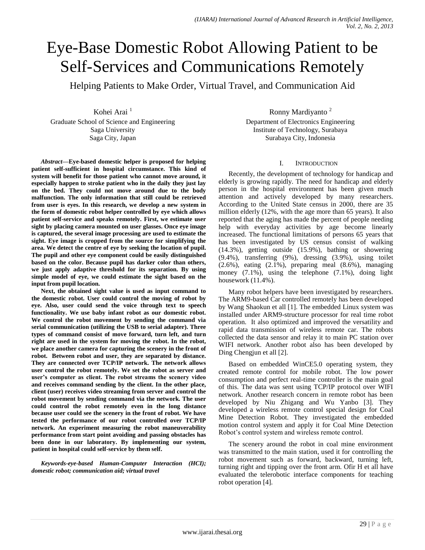# Eye-Base Domestic Robot Allowing Patient to be Self-Services and Communications Remotely

Helping Patients to Make Order, Virtual Travel, and Communication Aid

Kohei Arai<sup>1</sup> Graduate School of Science and Engineering Saga University Saga City, Japan

*Abstract***—Eye-based domestic helper is proposed for helping patient self-sufficient in hospital circumstance. This kind of system will benefit for those patient who cannot move around, it especially happen to stroke patient who in the daily they just lay on the bed. They could not move around due to the body malfunction. The only information that still could be retrieved from user is eyes. In this research, we develop a new system in the form of domestic robot helper controlled by eye which allows patient self-service and speaks remotely. First, we estimate user sight by placing camera mounted on user glasses. Once eye image is captured, the several image processing are used to estimate the sight. Eye image is cropped from the source for simplifying the area. We detect the centre of eye by seeking the location of pupil. The pupil and other eye component could be easily distinguished based on the color. Because pupil has darker color than others, we just apply adaptive threshold for its separation. By using simple model of eye, we could estimate the sight based on the input from pupil location.** 

**Next, the obtained sight value is used as input command to the domestic robot. User could control the moving of robot by eye. Also, user could send the voice through text to speech functionality. We use baby infant robot as our domestic robot. We control the robot movement by sending the command via serial communication (utilizing the USB to serial adapter). Three types of command consist of move forward, turn left, and turn right are used in the system for moving the robot. In the robot, we place another camera for capturing the scenery in the front of robot. Between robot and user, they are separated by distance. They are connected over TCP/IP network. The network allows user control the robot remotely. We set the robot as server and user's computer as client. The robot streams the scenery video and receives command sending by the client. In the other place, client (user) receives video streaming from server and control the robot movement by sending command via the network. The user could control the robot remotely even in the long distance because user could see the scenery in the front of robot. We have tested the performance of our robot controlled over TCP/IP network. An experiment measuring the robot maneuverability performance from start point avoiding and passing obstacles has been done in our laboratory. By implementing our system, patient in hospital could self-service by them self.**

*Keywords-eye-based Human-Computer Interaction (HCI); domestic robot; communication aid; virtual travel*

Ronny Mardiyanto <sup>2</sup>

Department of Electronics Engineering Institute of Technology, Surabaya Surabaya City, Indonesia

# I. INTRODUCTION

Recently, the development of technology for handicap and elderly is growing rapidly. The need for handicap and elderly person in the hospital environment has been given much attention and actively developed by many researchers. According to the United State census in 2000, there are 35 million elderly (12%, with the age more than 65 years). It also reported that the aging has made the percent of people needing help with everyday activities by age become linearly increased. The functional limitations of persons 65 years that has been investigated by US census consist of walking (14.3%), getting outside (15.9%), bathing or showering (9.4%), transferring (9%), dressing (3.9%), using toilet (2.6%), eating (2.1%), preparing meal (8.6%), managing money (7.1%), using the telephone (7.1%), doing light housework  $(11.4\%)$ .

Many robot helpers have been investigated by researchers. The ARM9-based Car controlled remotely has been developed by Wang Shaokun et all [1]. The embedded Linux system was installed under ARM9-structure processor for real time robot operation. It also optimized and improved the versatility and rapid data transmission of wireless remote car. The robots collected the data sensor and relay it to main PC station over WIFI network. Another robot also has been developed by Ding Chengjun et all [2].

Based on embedded WinCE5.0 operating system, they created remote control for mobile robot. The low power consumption and perfect real-time controller is the main goal of this. The data was sent using TCP/IP protocol over WIFI network. Another research concern in remote robot has been developed by Niu Zhigang and Wu Yanbo [3]. They developed a wireless remote control special design for Coal Mine Detection Robot. They investigated the embedded motion control system and apply it for Coal Mine Detection Robot's control system and wireless remote control.

The scenery around the robot in coal mine environment was transmitted to the main station, used it for controlling the robot movement such as forward, backward, turning left, turning right and tipping over the front arm. Ofir H et all have evaluated the telerobotic interface components for teaching robot operation [4].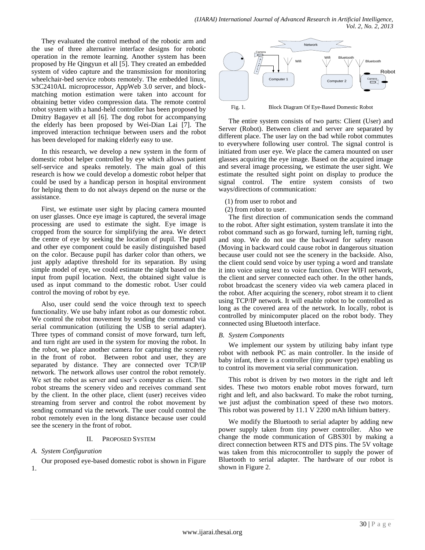They evaluated the control method of the robotic arm and the use of three alternative interface designs for robotic operation in the remote learning. Another system has been proposed by He Qingyun et all [5]. They created an embedded system of video capture and the transmission for monitoring wheelchair-bed service robots remotely. The embedded linux, S3C2410AL microprocessor, AppWeb 3.0 server, and blockmatching motion estimation were taken into account for obtaining better video compression data. The remote control robot system with a hand-held controller has been proposed by Dmitry Bagayev et all [6]. The dog robot for accompanying the elderly has been proposed by Wei-Dian Lai [7]. The improved interaction technique between users and the robot has been developed for making elderly easy to use.

In this research, we develop a new system in the form of domestic robot helper controlled by eye which allows patient self-service and speaks remotely. The main goal of this research is how we could develop a domestic robot helper that could be used by a handicap person in hospital environment for helping them to do not always depend on the nurse or the assistance.

First, we estimate user sight by placing camera mounted on user glasses. Once eye image is captured, the several image processing are used to estimate the sight. Eye image is cropped from the source for simplifying the area. We detect the centre of eye by seeking the location of pupil. The pupil and other eye component could be easily distinguished based on the color. Because pupil has darker color than others, we just apply adaptive threshold for its separation. By using simple model of eye, we could estimate the sight based on the input from pupil location. Next, the obtained sight value is used as input command to the domestic robot. User could control the moving of robot by eye.

Also, user could send the voice through text to speech functionality. We use baby infant robot as our domestic robot. We control the robot movement by sending the command via serial communication (utilizing the USB to serial adapter). Three types of command consist of move forward, turn left, and turn right are used in the system for moving the robot. In the robot, we place another camera for capturing the scenery in the front of robot. Between robot and user, they are separated by distance. They are connected over TCP/IP network. The network allows user control the robot remotely. We set the robot as server and user's computer as client. The robot streams the scenery video and receives command sent by the client. In the other place, client (user) receives video streaming from server and control the robot movement by sending command via the network. The user could control the robot remotely even in the long distance because user could see the scenery in the front of robot.

## II. PROPOSED SYSTEM

## *A. System Configuration*

Our proposed eye-based domestic robot is shown in Figure 1.



Fig. 1. Block Diagram Of Eye-Based Domestic Robot

The entire system consists of two parts: Client (User) and Server (Robot). Between client and server are separated by different place. The user lay on the bad while robot commutes to everywhere following user control. The signal control is initiated from user eye. We place the camera mounted on user glasses acquiring the eye image. Based on the acquired image and several image processing, we estimate the user sight. We estimate the resulted sight point on display to produce the signal control. The entire system consists of two ways/directions of communication:

- (1) from user to robot and
- (2) from robot to user.

The first direction of communication sends the command to the robot. After sight estimation, system translate it into the robot command such as go forward, turning left, turning right, and stop. We do not use the backward for safety reason (Moving in backward could cause robot in dangerous situation because user could not see the scenery in the backside. Also, the client could send voice by user typing a word and translate it into voice using text to voice function. Over WIFI network, the client and server connected each other. In the other hands, robot broadcast the scenery video via web camera placed in the robot. After acquiring the scenery, robot stream it to client using TCP/IP network. It will enable robot to be controlled as long as the covered area of the network. In locally, robot is controlled by minicomputer placed on the robot body. They connected using Bluetooth interface.

## *B. System Components*

We implement our system by utilizing baby infant type robot with netbook PC as main controller. In the inside of baby infant, there is a controller (tiny power type) enabling us to control its movement via serial communication.

This robot is driven by two motors in the right and left sides. These two motors enable robot moves forward, turn right and left, and also backward. To make the robot turning, we just adjust the combination speed of these two motors. This robot was powered by 11.1 V 2200 mAh lithium battery.

We modify the Bluetooth to serial adapter by adding new power supply taken from tiny power controller. Also we change the mode communication of GBS301 by making a direct connection between RTS and DTS pins. The 5V voltage was taken from this microcontroller to supply the power of Bluetooth to serial adapter. The hardware of our robot is shown in Figure 2.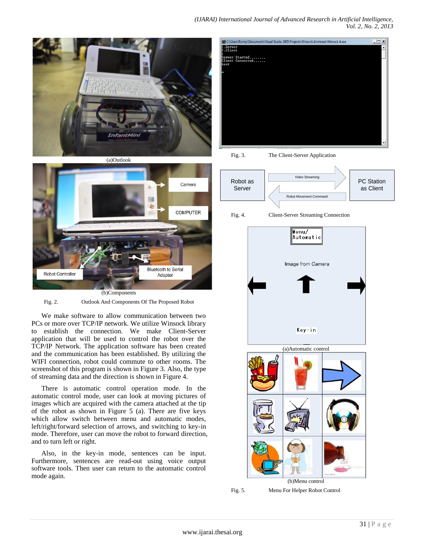



(b)Components

Fig. 2. Outlook And Components Of The Proposed Robot

We make software to allow communication between two PCs or more over TCP/IP network. We utilize Winsock library to establish the connection. We make Client-Server application that will be used to control the robot over the TCP/IP Network. The application software has been created and the communication has been established. By utilizing the WIFI connection, robot could commute to other rooms. The screenshot of this program is shown in Figure 3. Also, the type of streaming data and the direction is shown in Figure 4.

There is automatic control operation mode. In the automatic control mode, user can look at moving pictures of images which are acquired with the camera attached at the tip of the robot as shown in Figure 5 (a). There are five keys which allow switch between menu and automatic modes, left/right/forward selection of arrows, and switching to key-in mode. Therefore, user can move the robot to forward direction, and to turn left or right.

Also, in the key-in mode, sentences can be input. Furthermore, sentences are read-out using voice output software tools. Then user can return to the automatic control mode again.



Fig. 3. The Client-Server Application





Fig. 5. Menu For Helper Robot Control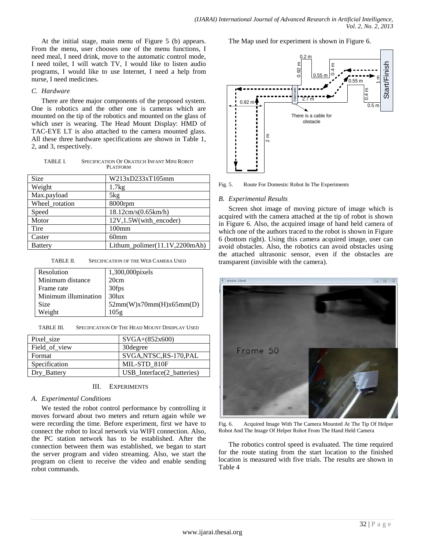At the initial stage, main menu of Figure 5 (b) appears. From the menu, user chooses one of the menu functions, I need meal, I need drink, move to the automatic control mode, I need toilet, I will watch TV, I would like to listen audio programs, I would like to use Internet, I need a help from nurse, I need medicines.

## *C. Hardware*

There are three major components of the proposed system. One is robotics and the other one is cameras which are mounted on the tip of the robotics and mounted on the glass of which user is wearing. The Head Mount Display: HMD of TAC-EYE LT is also attached to the camera mounted glass. All these three hardware specifications are shown in Table 1, 2, and 3, respectively.

TABLE I. SPECIFICATION OF OKATECH INFANT MINI ROBOT PLATFORM

| <b>Size</b>    | W213xD233xT105mm              |
|----------------|-------------------------------|
| Weight         | 1.7kg                         |
| Max.payload    | 5kg                           |
| Wheel rotation | 8000rpm                       |
| Speed          | 18.12cm/s(0.65km/h)           |
| Motor          | 12V,1.5W(with_encoder)        |
| Tire           | 100 <sub>mm</sub>             |
| Caster         | 60 <sub>mm</sub>              |
| <b>Battery</b> | Lithum_polimer(11.1V,2200mAh) |

TABLE II. SPECIFICATION OF THE WEB CAMERA USED

| Resolution           | 1,300,000pixels         |
|----------------------|-------------------------|
| Minimum distance     | 20cm                    |
| Frame rate           | 30fps<br>30lux          |
| Minimum illumination |                         |
| <b>Size</b>          | 52mm(W)x70mm(H)x65mm(D) |
| Weight               | 1052                    |

TABLE III. SPECIFICATION OF THE HEAD MOUNT DISDPLAY USED

| Pixel size    | $SVGA+(852x600)$           |
|---------------|----------------------------|
| Field of view | 30 degree                  |
| Format        | SVGA,NTSC,RS-170,PAL       |
| Specification | MIL-STD 810F               |
| Dry_Battery   | USB Interface(2 batteries) |

# III. EXPERIMENTS

# *A. Experimental Conditions*

We tested the robot control performance by controlling it moves forward about two meters and return again while we were recording the time. Before experiment, first we have to connect the robot to local network via WIFI connection. Also, the PC station network has to be established. After the connection between them was established, we began to start the server program and video streaming. Also, we start the program on client to receive the video and enable sending robot commands.

The Map used for experiment is shown in Figure 6.





# *B. Experimental Results*

Screen shot image of moving picture of image which is acquired with the camera attached at the tip of robot is shown in Figure 6. Also, the acquired image of hand held camera of which one of the authors traced to the robot is shown in Figure 6 (bottom right). Using this camera acquired image, user can avoid obstacles. Also, the robotics can avoid obstacles using the attached ultrasonic sensor, even if the obstacles are transparent (invisible with the camera).



Fig. 6. Acquired Image With The Camera Mounted At The Tip Of Helper Robot And The Image Of Helper Robot From The Hand Held Camera

The robotics control speed is evaluated. The time required for the route stating from the start location to the finished location is measured with five trials. The results are shown in Table 4